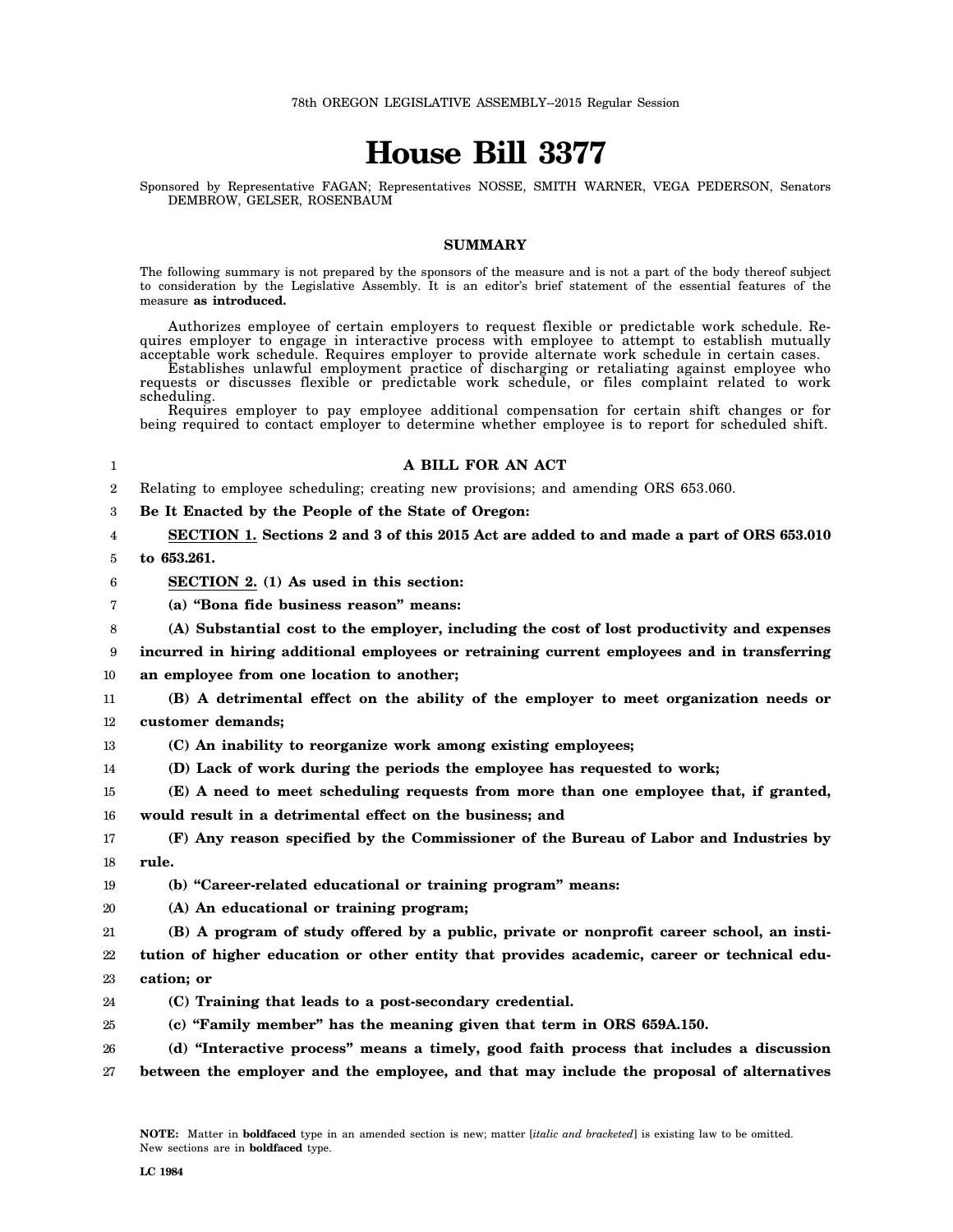# **House Bill 3377**

Sponsored by Representative FAGAN; Representatives NOSSE, SMITH WARNER, VEGA PEDERSON, Senators DEMBROW, GELSER, ROSENBAUM

## **SUMMARY**

The following summary is not prepared by the sponsors of the measure and is not a part of the body thereof subject to consideration by the Legislative Assembly. It is an editor's brief statement of the essential features of the measure **as introduced.**

Authorizes employee of certain employers to request flexible or predictable work schedule. Requires employer to engage in interactive process with employee to attempt to establish mutually acceptable work schedule. Requires employer to provide alternate work schedule in certain cases.

Establishes unlawful employment practice of discharging or retaliating against employee who requests or discusses flexible or predictable work schedule, or files complaint related to work scheduling.

Requires employer to pay employee additional compensation for certain shift changes or for being required to contact employer to determine whether employee is to report for scheduled shift.

## **A BILL FOR AN ACT**

2 Relating to employee scheduling; creating new provisions; and amending ORS 653.060.

3 **Be It Enacted by the People of the State of Oregon:**

4 5 **SECTION 1. Sections 2 and 3 of this 2015 Act are added to and made a part of ORS 653.010 to 653.261.**

1

6

**SECTION 2. (1) As used in this section:**

7 **(a) "Bona fide business reason" means:**

8 **(A) Substantial cost to the employer, including the cost of lost productivity and expenses**

9 10 **incurred in hiring additional employees or retraining current employees and in transferring an employee from one location to another;**

11 **(B) A detrimental effect on the ability of the employer to meet organization needs or**

12 **customer demands;**

- 13 **(C) An inability to reorganize work among existing employees;**
- 14 **(D) Lack of work during the periods the employee has requested to work;**

15 **(E) A need to meet scheduling requests from more than one employee that, if granted,**

16 **would result in a detrimental effect on the business; and**

17 18 **(F) Any reason specified by the Commissioner of the Bureau of Labor and Industries by rule.**

19 **(b) "Career-related educational or training program" means:**

20 **(A) An educational or training program;**

21 22 23 **(B) A program of study offered by a public, private or nonprofit career school, an institution of higher education or other entity that provides academic, career or technical education; or**

- 24 **(C) Training that leads to a post-secondary credential.**
- 25 **(c) "Family member" has the meaning given that term in ORS 659A.150.**

26 **(d) "Interactive process" means a timely, good faith process that includes a discussion**

27 **between the employer and the employee, and that may include the proposal of alternatives**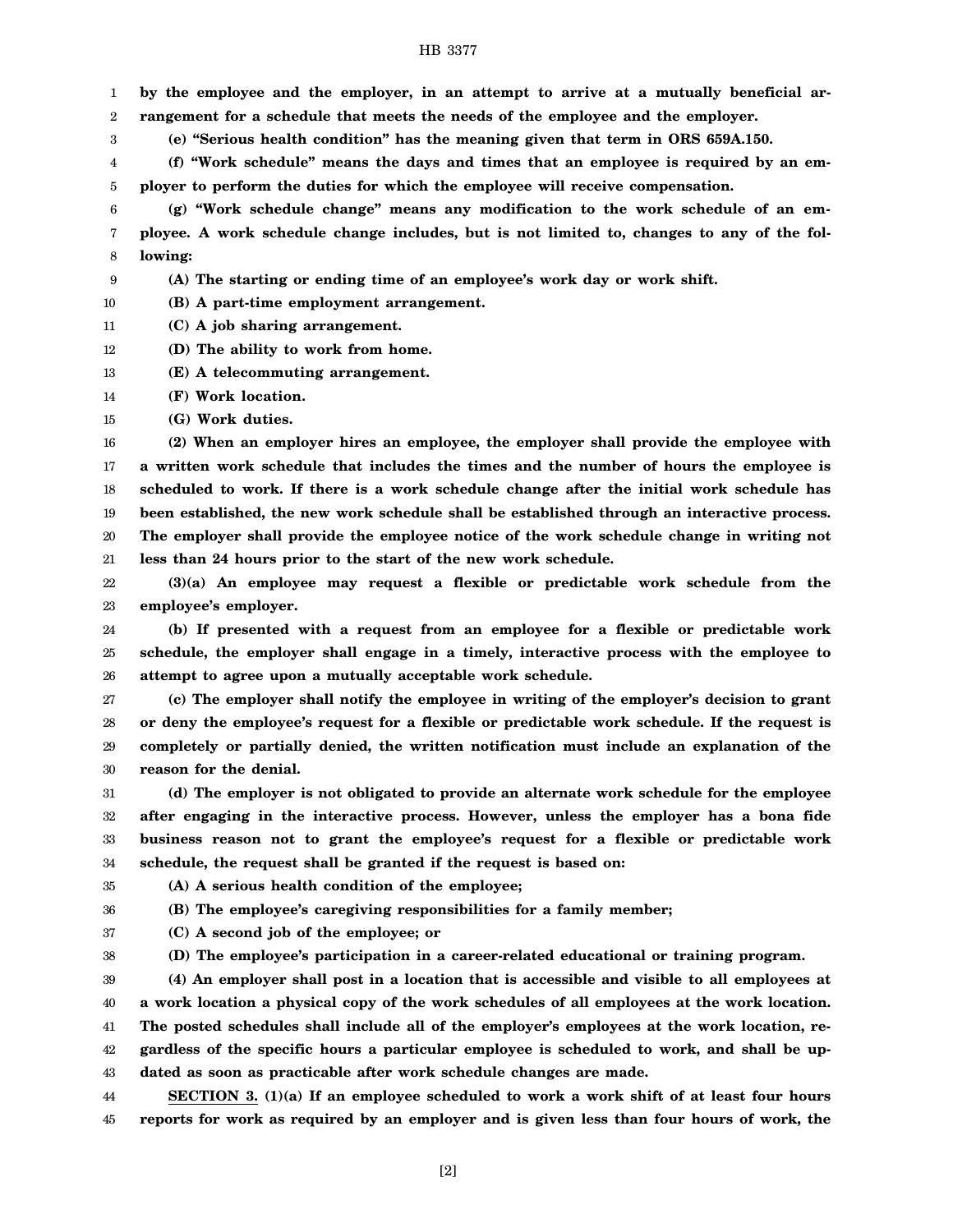#### HB 3377

1 2 **by the employee and the employer, in an attempt to arrive at a mutually beneficial arrangement for a schedule that meets the needs of the employee and the employer.**

3 **(e) "Serious health condition" has the meaning given that term in ORS 659A.150.**

4 5 **(f) "Work schedule" means the days and times that an employee is required by an employer to perform the duties for which the employee will receive compensation.**

6 7 8 **(g) "Work schedule change" means any modification to the work schedule of an employee. A work schedule change includes, but is not limited to, changes to any of the following:**

9 **(A) The starting or ending time of an employee's work day or work shift.**

10 **(B) A part-time employment arrangement.**

- 11 **(C) A job sharing arrangement.**
- 12 **(D) The ability to work from home.**
- 13 **(E) A telecommuting arrangement.**
- 14 **(F) Work location.**
- 15 **(G) Work duties.**

16 17 18 19 20 21 **(2) When an employer hires an employee, the employer shall provide the employee with a written work schedule that includes the times and the number of hours the employee is scheduled to work. If there is a work schedule change after the initial work schedule has been established, the new work schedule shall be established through an interactive process. The employer shall provide the employee notice of the work schedule change in writing not less than 24 hours prior to the start of the new work schedule.**

22 23 **(3)(a) An employee may request a flexible or predictable work schedule from the employee's employer.**

24 25 26 **(b) If presented with a request from an employee for a flexible or predictable work schedule, the employer shall engage in a timely, interactive process with the employee to attempt to agree upon a mutually acceptable work schedule.**

27 28 29 30 **(c) The employer shall notify the employee in writing of the employer's decision to grant or deny the employee's request for a flexible or predictable work schedule. If the request is completely or partially denied, the written notification must include an explanation of the reason for the denial.**

31 32 33 34 **(d) The employer is not obligated to provide an alternate work schedule for the employee after engaging in the interactive process. However, unless the employer has a bona fide business reason not to grant the employee's request for a flexible or predictable work schedule, the request shall be granted if the request is based on:**

35

**(A) A serious health condition of the employee;**

36 37

**(B) The employee's caregiving responsibilities for a family member;**

**(C) A second job of the employee; or**

38 **(D) The employee's participation in a career-related educational or training program.**

39 **(4) An employer shall post in a location that is accessible and visible to all employees at**

40 **a work location a physical copy of the work schedules of all employees at the work location.**

41 **The posted schedules shall include all of the employer's employees at the work location, re-**

42 **gardless of the specific hours a particular employee is scheduled to work, and shall be up-**

43 **dated as soon as practicable after work schedule changes are made.**

44 45 **SECTION 3. (1)(a) If an employee scheduled to work a work shift of at least four hours reports for work as required by an employer and is given less than four hours of work, the**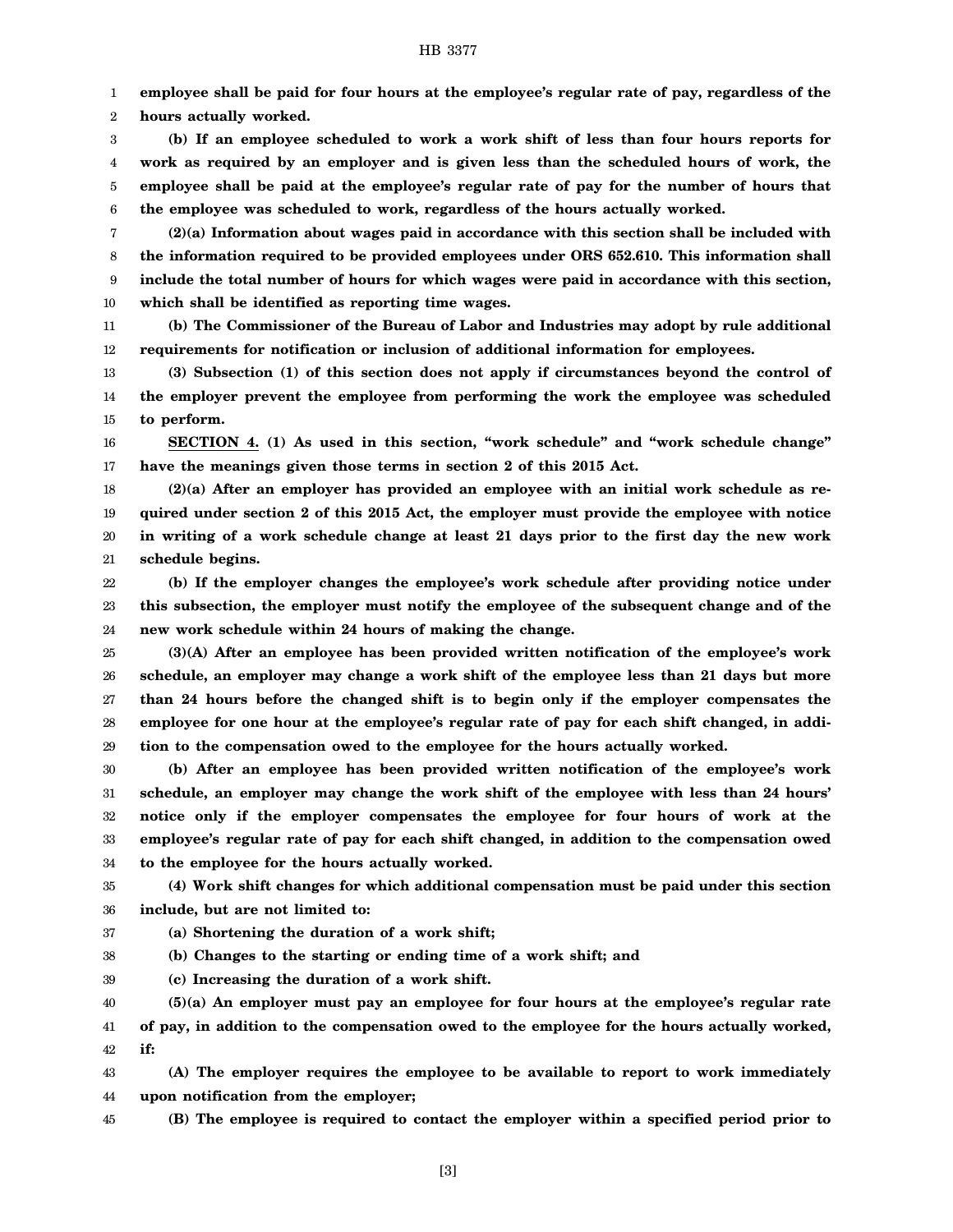### HB 3377

1 **employee shall be paid for four hours at the employee's regular rate of pay, regardless of the**

2 **hours actually worked.**

3 4 5 6 **(b) If an employee scheduled to work a work shift of less than four hours reports for work as required by an employer and is given less than the scheduled hours of work, the employee shall be paid at the employee's regular rate of pay for the number of hours that the employee was scheduled to work, regardless of the hours actually worked.**

7 8 9 10 **(2)(a) Information about wages paid in accordance with this section shall be included with the information required to be provided employees under ORS 652.610. This information shall include the total number of hours for which wages were paid in accordance with this section, which shall be identified as reporting time wages.**

11 12 **(b) The Commissioner of the Bureau of Labor and Industries may adopt by rule additional requirements for notification or inclusion of additional information for employees.**

13 14 15 **(3) Subsection (1) of this section does not apply if circumstances beyond the control of the employer prevent the employee from performing the work the employee was scheduled to perform.**

16 17 **SECTION 4. (1) As used in this section, "work schedule" and "work schedule change" have the meanings given those terms in section 2 of this 2015 Act.**

18 19 20 21 **(2)(a) After an employer has provided an employee with an initial work schedule as required under section 2 of this 2015 Act, the employer must provide the employee with notice in writing of a work schedule change at least 21 days prior to the first day the new work schedule begins.**

22 23 24 **(b) If the employer changes the employee's work schedule after providing notice under this subsection, the employer must notify the employee of the subsequent change and of the new work schedule within 24 hours of making the change.**

25 26 27 28 29 **(3)(A) After an employee has been provided written notification of the employee's work schedule, an employer may change a work shift of the employee less than 21 days but more than 24 hours before the changed shift is to begin only if the employer compensates the employee for one hour at the employee's regular rate of pay for each shift changed, in addition to the compensation owed to the employee for the hours actually worked.**

30 31 32 33 34 **(b) After an employee has been provided written notification of the employee's work schedule, an employer may change the work shift of the employee with less than 24 hours' notice only if the employer compensates the employee for four hours of work at the employee's regular rate of pay for each shift changed, in addition to the compensation owed to the employee for the hours actually worked.**

35 36 **(4) Work shift changes for which additional compensation must be paid under this section include, but are not limited to:**

37 **(a) Shortening the duration of a work shift;**

38 **(b) Changes to the starting or ending time of a work shift; and**

39 **(c) Increasing the duration of a work shift.**

40 41 42 **(5)(a) An employer must pay an employee for four hours at the employee's regular rate of pay, in addition to the compensation owed to the employee for the hours actually worked, if:**

43 44 **(A) The employer requires the employee to be available to report to work immediately upon notification from the employer;**

45 **(B) The employee is required to contact the employer within a specified period prior to**